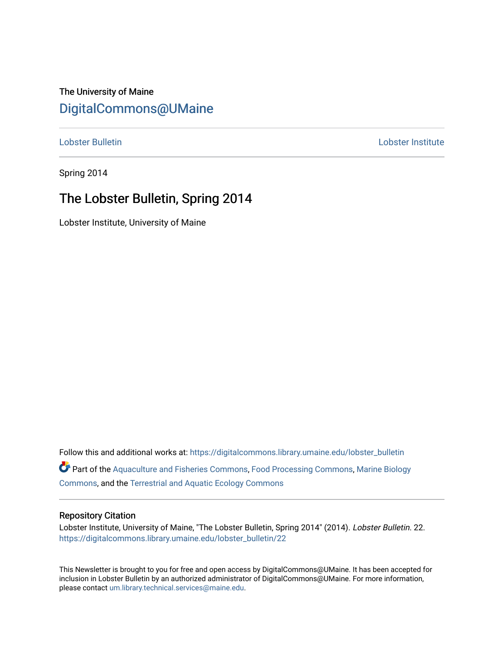### The University of Maine [DigitalCommons@UMaine](https://digitalcommons.library.umaine.edu/)

[Lobster Bulletin](https://digitalcommons.library.umaine.edu/lobster_bulletin) [Lobster Institute](https://digitalcommons.library.umaine.edu/lobster) 

Spring 2014

### The Lobster Bulletin, Spring 2014

Lobster Institute, University of Maine

Follow this and additional works at: [https://digitalcommons.library.umaine.edu/lobster\\_bulletin](https://digitalcommons.library.umaine.edu/lobster_bulletin?utm_source=digitalcommons.library.umaine.edu%2Flobster_bulletin%2F22&utm_medium=PDF&utm_campaign=PDFCoverPages) Part of the [Aquaculture and Fisheries Commons](http://network.bepress.com/hgg/discipline/78?utm_source=digitalcommons.library.umaine.edu%2Flobster_bulletin%2F22&utm_medium=PDF&utm_campaign=PDFCoverPages), [Food Processing Commons,](http://network.bepress.com/hgg/discipline/85?utm_source=digitalcommons.library.umaine.edu%2Flobster_bulletin%2F22&utm_medium=PDF&utm_campaign=PDFCoverPages) [Marine Biology](http://network.bepress.com/hgg/discipline/1126?utm_source=digitalcommons.library.umaine.edu%2Flobster_bulletin%2F22&utm_medium=PDF&utm_campaign=PDFCoverPages) [Commons](http://network.bepress.com/hgg/discipline/1126?utm_source=digitalcommons.library.umaine.edu%2Flobster_bulletin%2F22&utm_medium=PDF&utm_campaign=PDFCoverPages), and the [Terrestrial and Aquatic Ecology Commons](http://network.bepress.com/hgg/discipline/20?utm_source=digitalcommons.library.umaine.edu%2Flobster_bulletin%2F22&utm_medium=PDF&utm_campaign=PDFCoverPages) 

#### Repository Citation

Lobster Institute, University of Maine, "The Lobster Bulletin, Spring 2014" (2014). Lobster Bulletin. 22. [https://digitalcommons.library.umaine.edu/lobster\\_bulletin/22](https://digitalcommons.library.umaine.edu/lobster_bulletin/22?utm_source=digitalcommons.library.umaine.edu%2Flobster_bulletin%2F22&utm_medium=PDF&utm_campaign=PDFCoverPages) 

This Newsletter is brought to you for free and open access by DigitalCommons@UMaine. It has been accepted for inclusion in Lobster Bulletin by an authorized administrator of DigitalCommons@UMaine. For more information, please contact [um.library.technical.services@maine.edu.](mailto:um.library.technical.services@maine.edu)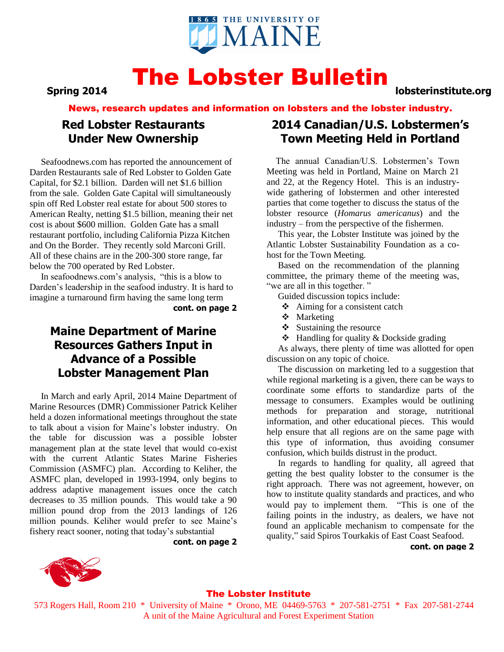

### The Lobster Bulletin **Spring 2014 lobsterinstitute.org**

News, research updates and information on lobsters and the lobster industry.

### **Red Lobster Restaurants Under New Ownership**

 Seafoodnews.com has reported the announcement of Darden Restaurants sale of Red Lobster to Golden Gate Capital, for \$2.1 billion. Darden will net \$1.6 billion from the sale. Golden Gate Capital will simultaneously spin off Red Lobster real estate for about 500 stores to American Realty, netting \$1.5 billion, meaning their net cost is about \$600 million. Golden Gate has a small restaurant portfolio, including California Pizza Kitchen and On the Border. They recently sold Marconi Grill. All of these chains are in the 200-300 store range, far below the 700 operated by Red Lobster.

 In seafoodnews.com's analysis, "this is a blow to Darden's leadership in the seafood industry. It is hard to imagine a turnaround firm having the same long term

**cont. on page 2**

### **Maine Department of Marine Resources Gathers Input in Advance of a Possible Lobster Management Plan**

 In March and early April, 2014 Maine Department of Marine Resources (DMR) Commissioner Patrick Keliher held a dozen informational meetings throughout the state to talk about a vision for Maine's lobster industry. On the table for discussion was a possible lobster management plan at the state level that would co-exist with the current Atlantic States Marine Fisheries Commission (ASMFC) plan. According to Keliher, the ASMFC plan, developed in 1993-1994, only begins to address adaptive management issues once the catch decreases to 35 million pounds. This would take a 90 million pound drop from the 2013 landings of 126 million pounds. Keliher would prefer to see Maine's fishery react sooner, noting that today's substantial

**cont. on page 2**

## **2014 Canadian/U.S. Lobstermen's Town Meeting Held in Portland**

 The annual Canadian/U.S. Lobstermen's Town Meeting was held in Portland, Maine on March 21 and 22, at the Regency Hotel. This is an industrywide gathering of lobstermen and other interested parties that come together to discuss the status of the lobster resource (*Homarus americanus*) and the industry – from the perspective of the fishermen.

 This year, the Lobster Institute was joined by the Atlantic Lobster Sustainability Foundation as a cohost for the Town Meeting.

 Based on the recommendation of the planning committee, the primary theme of the meeting was, "we are all in this together."

Guided discussion topics include:

- $\triangle$  Aiming for a consistent catch
- **\*** Marketing
- $\div$  Sustaining the resource
- $\triangleleft$  Handling for quality & Dockside grading

 As always, there plenty of time was allotted for open discussion on any topic of choice.

 The discussion on marketing led to a suggestion that while regional marketing is a given, there can be ways to coordinate some efforts to standardize parts of the message to consumers. Examples would be outlining methods for preparation and storage, nutritional information, and other educational pieces. This would help ensure that all regions are on the same page with this type of information, thus avoiding consumer confusion, which builds distrust in the product.

 In regards to handling for quality, all agreed that getting the best quality lobster to the consumer is the right approach. There was not agreement, however, on how to institute quality standards and practices, and who would pay to implement them. "This is one of the failing points in the industry, as dealers, we have not found an applicable mechanism to compensate for the quality," said Spiros Tourkakis of East Coast Seafood.

**cont. on page 2**



#### The Lobster Institute

573 Rogers Hall, Room 210 \* University of Maine \* Orono, ME 04469-5763 \* 207-581-2751 \* Fax 207-581-2744 A unit of the Maine Agricultural and Forest Experiment Station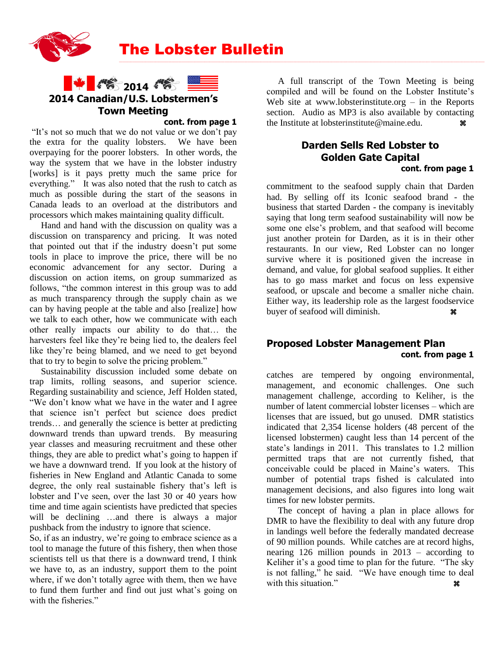

The Lobster Bulletin



#### **cont. from page 1**

"It's not so much that we do not value or we don't pay the extra for the quality lobsters. We have been overpaying for the poorer lobsters. In other words, the way the system that we have in the lobster industry [works] is it pays pretty much the same price for everything." It was also noted that the rush to catch as much as possible during the start of the seasons in Canada leads to an overload at the distributors and processors which makes maintaining quality difficult.

 Hand and hand with the discussion on quality was a discussion on transparency and pricing. It was noted that pointed out that if the industry doesn't put some tools in place to improve the price, there will be no economic advancement for any sector. During a discussion on action items, on group summarized as follows, "the common interest in this group was to add as much transparency through the supply chain as we can by having people at the table and also [realize] how we talk to each other, how we communicate with each other really impacts our ability to do that… the harvesters feel like they're being lied to, the dealers feel like they're being blamed, and we need to get beyond that to try to begin to solve the pricing problem."

 Sustainability discussion included some debate on trap limits, rolling seasons, and superior science. Regarding sustainability and science, Jeff Holden stated, "We don't know what we have in the water and I agree that science isn't perfect but science does predict trends… and generally the science is better at predicting downward trends than upward trends. By measuring year classes and measuring recruitment and these other things, they are able to predict what's going to happen if we have a downward trend. If you look at the history of fisheries in New England and Atlantic Canada to some degree, the only real sustainable fishery that's left is lobster and I've seen, over the last 30 or 40 years how time and time again scientists have predicted that species will be declining ...and there is always a major pushback from the industry to ignore that science.

So, if as an industry, we're going to embrace science as a tool to manage the future of this fishery, then when those scientists tell us that there is a downward trend, I think we have to, as an industry, support them to the point where, if we don't totally agree with them, then we have to fund them further and find out just what's going on with the fisheries."

 A full transcript of the Town Meeting is being compiled and will be found on the Lobster Institute's Web site at www.lobsterinstitute.org  $-$  in the Reports section. Audio as MP3 is also available by contacting the Institute at lobsterinstitute@maine.edu.

\_\_\_\_\_\_\_\_\_\_\_\_\_\_\_\_\_\_\_\_\_\_\_\_\_\_\_\_\_\_\_\_\_\_\_\_\_\_\_\_\_\_\_\_\_\_\_\_\_\_\_\_\_\_\_\_\_\_\_\_\_\_\_\_\_\_\_\_\_\_\_\_\_\_\_\_\_\_\_\_\_\_\_\_\_\_\_\_\_\_\_\_\_\_\_\_\_\_\_\_\_\_\_\_\_\_\_\_\_\_\_\_\_\_\_\_\_\_\_\_\_\_\_\_\_\_\_\_\_\_\_\_\_\_\_\_\_\_\_\_\_\_\_\_\_\_\_\_\_\_\_\_\_\_\_\_\_\_\_\_\_\_\_\_\_\_\_\_\_\_\_\_\_\_\_\_\_\_\_\_\_\_\_\_\_\_\_\_\_\_\_\_\_\_\_\_\_\_\_\_\_\_\_\_\_\_\_\_\_\_\_\_\_\_\_\_\_\_\_\_\_\_

#### **Darden Sells Red Lobster to Golden Gate Capital cont. from page 1**

commitment to the seafood supply chain that Darden had. By selling off its Iconic seafood brand - the business that started Darden - the company is inevitably saying that long term seafood sustainability will now be some one else's problem, and that seafood will become just another protein for Darden, as it is in their other restaurants. In our view, Red Lobster can no longer survive where it is positioned given the increase in demand, and value, for global seafood supplies. It either has to go mass market and focus on less expensive seafood, or upscale and become a smaller niche chain. Either way, its leadership role as the largest foodservice buyer of seafood will diminish.

### **Proposed Lobster Management Plan cont. from page 1**

catches are tempered by ongoing environmental, management, and economic challenges. One such management challenge, according to Keliher, is the number of latent commercial lobster licenses – which are licenses that are issued, but go unused. DMR statistics indicated that 2,354 license holders (48 percent of the licensed lobstermen) caught less than 14 percent of the state's landings in 2011. This translates to 1.2 million permitted traps that are not currently fished, that conceivable could be placed in Maine's waters. This number of potential traps fished is calculated into management decisions, and also figures into long wait times for new lobster permits.

 The concept of having a plan in place allows for DMR to have the flexibility to deal with any future drop in landings well before the federally mandated decrease of 90 million pounds. While catches are at record highs, nearing 126 million pounds in 2013 – according to Keliher it's a good time to plan for the future. "The sky is not falling," he said. "We have enough time to deal with this situation."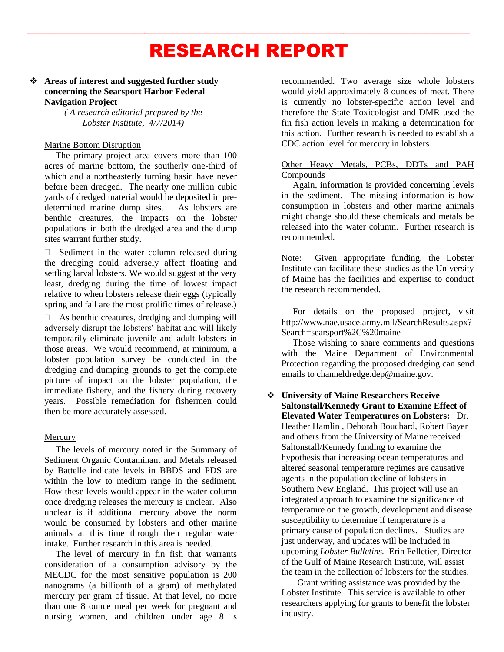# RESEARCH REPORT

 $\frac{1}{2}$  ,  $\frac{1}{2}$  ,  $\frac{1}{2}$  ,  $\frac{1}{2}$  ,  $\frac{1}{2}$  ,  $\frac{1}{2}$  ,  $\frac{1}{2}$  ,  $\frac{1}{2}$  ,  $\frac{1}{2}$  ,  $\frac{1}{2}$  ,  $\frac{1}{2}$  ,  $\frac{1}{2}$  ,  $\frac{1}{2}$  ,  $\frac{1}{2}$  ,  $\frac{1}{2}$  ,  $\frac{1}{2}$  ,  $\frac{1}{2}$  ,  $\frac{1}{2}$  ,  $\frac{1$ 

#### **Areas of interest and suggested further study concerning the Searsport Harbor Federal Navigation Project**

*( A research editorial prepared by the Lobster Institute, 4/7/2014)*

#### Marine Bottom Disruption

 The primary project area covers more than 100 acres of marine bottom, the southerly one-third of which and a northeasterly turning basin have never before been dredged. The nearly one million cubic yards of dredged material would be deposited in predetermined marine dump sites. As lobsters are benthic creatures, the impacts on the lobster populations in both the dredged area and the dump sites warrant further study.

 $\Box$  Sediment in the water column released during the dredging could adversely affect floating and settling larval lobsters. We would suggest at the very least, dredging during the time of lowest impact relative to when lobsters release their eggs (typically spring and fall are the most prolific times of release.)

 $\Box$  As benthic creatures, dredging and dumping will adversely disrupt the lobsters' habitat and will likely temporarily eliminate juvenile and adult lobsters in those areas. We would recommend, at minimum, a lobster population survey be conducted in the dredging and dumping grounds to get the complete picture of impact on the lobster population, the immediate fishery, and the fishery during recovery years. Possible remediation for fishermen could then be more accurately assessed.

#### Mercury

 The levels of mercury noted in the Summary of Sediment Organic Contaminant and Metals released by Battelle indicate levels in BBDS and PDS are within the low to medium range in the sediment. How these levels would appear in the water column once dredging releases the mercury is unclear. Also unclear is if additional mercury above the norm would be consumed by lobsters and other marine animals at this time through their regular water intake. Further research in this area is needed.

 The level of mercury in fin fish that warrants consideration of a consumption advisory by the MECDC for the most sensitive population is 200 nanograms (a billionth of a gram) of methylated mercury per gram of tissue. At that level, no more than one 8 ounce meal per week for pregnant and nursing women, and children under age 8 is recommended. Two average size whole lobsters would yield approximately 8 ounces of meat. There is currently no lobster-specific action level and therefore the State Toxicologist and DMR used the fin fish action levels in making a determination for this action. Further research is needed to establish a CDC action level for mercury in lobsters

#### Other Heavy Metals, PCBs, DDTs and PAH Compounds

 Again, information is provided concerning levels in the sediment. The missing information is how consumption in lobsters and other marine animals might change should these chemicals and metals be released into the water column. Further research is recommended.

Note: Given appropriate funding, the Lobster Institute can facilitate these studies as the University of Maine has the facilities and expertise to conduct the research recommended.

 For details on the proposed project, visit http://www.nae.usace.army.mil/SearchResults.aspx? Search=searsport%2C%20maine

 Those wishing to share comments and questions with the Maine Department of Environmental Protection regarding the proposed dredging can send emails to channeldredge.dep@maine.gov.

 **University of Maine Researchers Receive Saltonstall/Kennedy Grant to Examine Effect of Elevated Water Temperatures on Lobsters:** Dr. Heather Hamlin , Deborah Bouchard, Robert Bayer and others from the University of Maine received Saltonstall/Kennedy funding to examine the hypothesis that increasing ocean temperatures and altered seasonal temperature regimes are causative agents in the population decline of lobsters in Southern New England. This project will use an integrated approach to examine the significance of temperature on the growth, development and disease susceptibility to determine if temperature is a primary cause of population declines. Studies are just underway, and updates will be included in upcoming *Lobster Bulletins.* Erin Pelletier, Director of the Gulf of Maine Research Institute, will assist the team in the collection of lobsters for the studies.

 Grant writing assistance was provided by the Lobster Institute. This service is available to other researchers applying for grants to benefit the lobster industry.